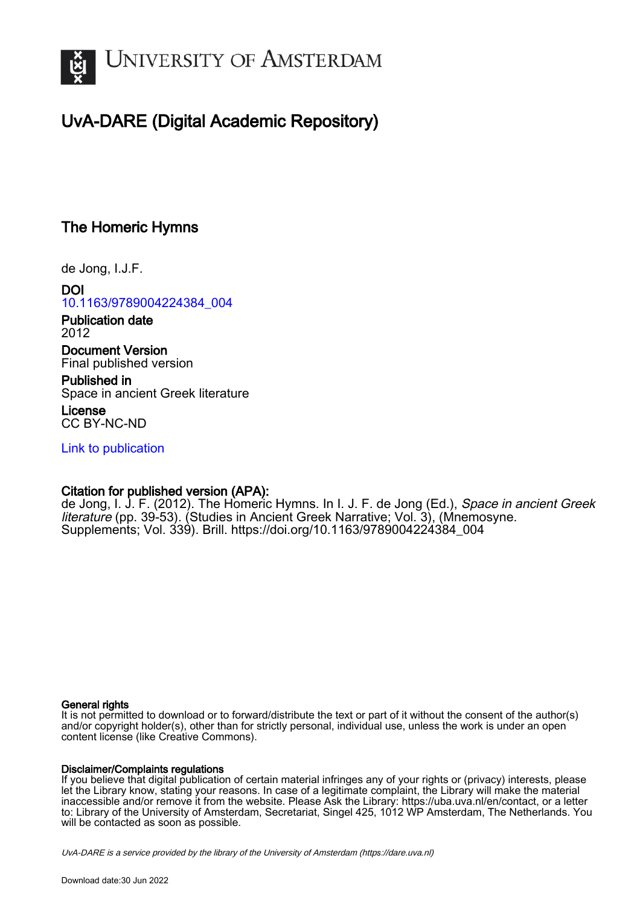

# UvA-DARE (Digital Academic Repository)

## The Homeric Hymns

de Jong, I.J.F.

DOI [10.1163/9789004224384\\_004](https://doi.org/10.1163/9789004224384_004)

Publication date 2012

Document Version Final published version

Published in Space in ancient Greek literature

License CC BY-NC-ND

[Link to publication](https://dare.uva.nl/personal/pure/en/publications/the-homeric-hymns(574a42ef-44be-445b-a73b-2a1674b0259c).html)

### Citation for published version (APA):

de Jong, I. J. F. (2012). The Homeric Hymns. In I. J. F. de Jong (Ed.), Space in ancient Greek literature (pp. 39-53). (Studies in Ancient Greek Narrative; Vol. 3), (Mnemosyne. Supplements; Vol. 339). Brill. [https://doi.org/10.1163/9789004224384\\_004](https://doi.org/10.1163/9789004224384_004)

#### General rights

It is not permitted to download or to forward/distribute the text or part of it without the consent of the author(s) and/or copyright holder(s), other than for strictly personal, individual use, unless the work is under an open content license (like Creative Commons).

#### Disclaimer/Complaints regulations

If you believe that digital publication of certain material infringes any of your rights or (privacy) interests, please let the Library know, stating your reasons. In case of a legitimate complaint, the Library will make the material inaccessible and/or remove it from the website. Please Ask the Library: https://uba.uva.nl/en/contact, or a letter to: Library of the University of Amsterdam, Secretariat, Singel 425, 1012 WP Amsterdam, The Netherlands. You will be contacted as soon as possible.

UvA-DARE is a service provided by the library of the University of Amsterdam (http*s*://dare.uva.nl)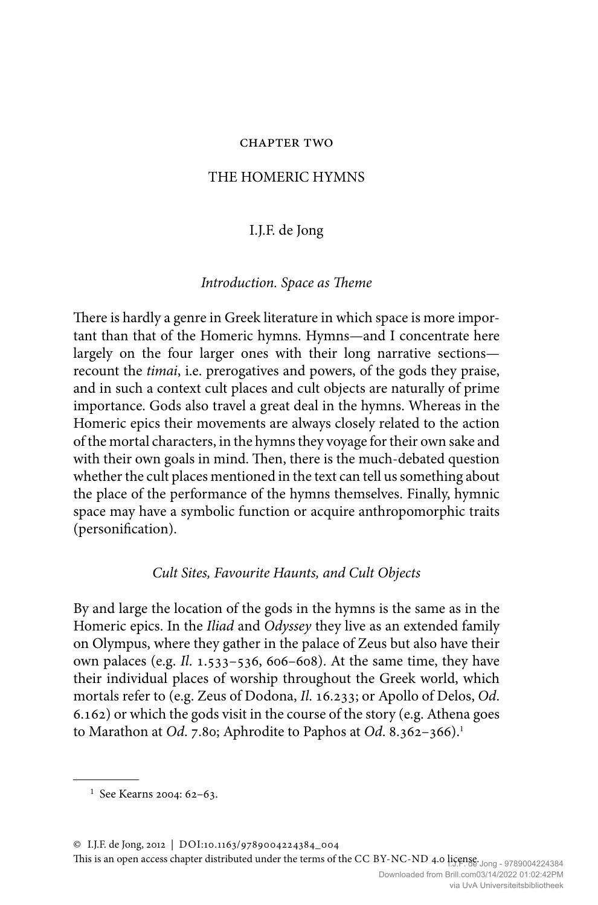#### chapter two

#### THE HOMERIC HYMNS

#### I.J.F. de Jong

#### *Introduction. Space as Theme*

There is hardly a genre in Greek literature in which space is more important than that of the Homeric hymns. Hymns—and I concentrate here largely on the four larger ones with their long narrative sections recount the *timai*, i.e. prerogatives and powers, of the gods they praise, and in such a context cult places and cult objects are naturally of prime importance. Gods also travel a great deal in the hymns. Whereas in the Homeric epics their movements are always closely related to the action of the mortal characters, in the hymns they voyage for their own sake and with their own goals in mind. Then, there is the much-debated question whether the cult places mentioned in the text can tell us something about the place of the performance of the hymns themselves. Finally, hymnic space may have a symbolic function or acquire anthropomorphic traits (personification).

#### *Cult Sites, Favourite Haunts, and Cult Objects*

By and large the location of the gods in the hymns is the same as in the Homeric epics. In the *Iliad* and *Odyssey* they live as an extended family on Olympus, where they gather in the palace of Zeus but also have their own palaces (e.g. *Il.* 1.533-536, 606-608). At the same time, they have their individual places of worship throughout the Greek world, which mortals refer to (e.g. Zeus of Dodona, *Il.* 16.233; or Apollo of Delos, Od. .) or which the gods visit in the course of the story (e.g. Athena goes to Marathon at *Od.* 7.80; Aphrodite to Paphos at *Od.* 8.362-366).<sup>1</sup>

© I.J.F. de Jong, 2012 | DOI:10.1163/9789004224384\_004

This is an open access chapter distributed under the terms of the CC BY-NC-ND 4.0 license. <sub>Jong -</sub> 9789004224384 Downloaded from Brill.com03/14/2022 01:02:42PM via UvA Universiteitsbibliotheek

 $1$  See Kearns 2004: 62-63.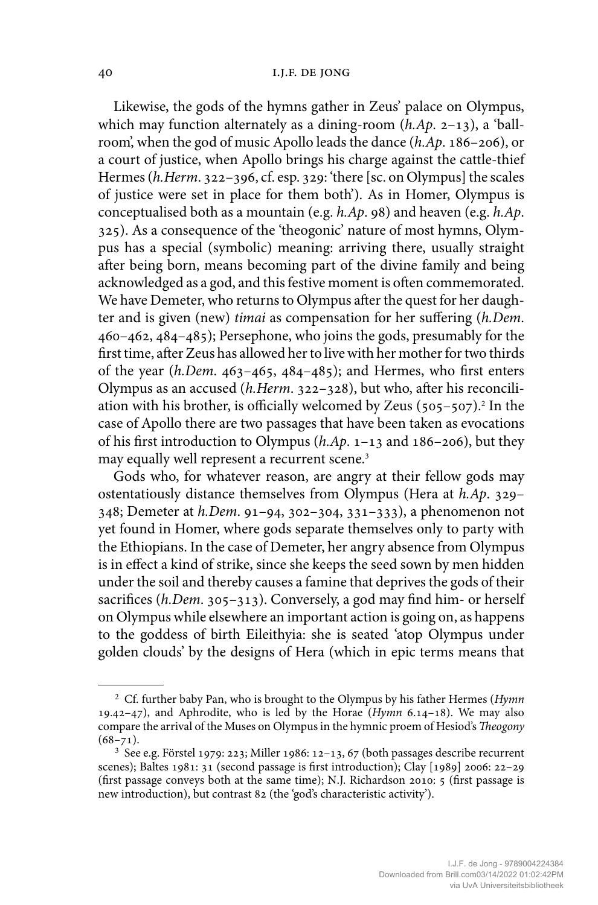Likewise, the gods of the hymns gather in Zeus' palace on Olympus, which may function alternately as a dining-room  $(h \cdot Ap \cdot 2-13)$ , a 'ballroom', when the god of music Apollo leads the dance  $(h.Ap. 186-206)$ , or a court of justice, when Apollo brings his charge against the cattle-thief Hermes ( $h$ . Herm. 322–396, cf. esp. 329: 'there [sc. on Olympus] the scales of justice were set in place for them both'). As in Homer, Olympus is conceptualised both as a mountain (e.g.  $h \Delta p$ , 98) and heaven (e.g.  $h \Delta p$ . ). As a consequence of the 'theogonic' nature of most hymns, Olympus has a special (symbolic) meaning: arriving there, usually straight after being born, means becoming part of the divine family and being acknowledged as a god, and this festive moment is often commemorated. We have Demeter, who returns to Olympus after the quest for her daughter and is given (new) timai as compensation for her suffering (h.Dem.  $460 - 462$ ,  $484 - 485$ ; Persephone, who joins the gods, presumably for the first time, after Zeus has allowed her to live with her mother for two thirds of the year ( $h.$ Dem. 463-465, 484-485); and Hermes, who first enters Olympus as an accused ( $h. Herm.$  322-328), but who, after his reconciliation with his brother, is officially welcomed by Zeus  $(505-507)^2$  In the case of Apollo there are two passages that have been taken as evocations of his first introduction to Olympus ( $h \cdot Ap \cdot 1-13$  and  $186-206$ ), but they may equally well represent a recurrent scene.<sup>3</sup>

Gods who, for whatever reason, are angry at their fellow gods may ostentatiously distance themselves from Olympus (Hera at  $hAp.$  329- $348$ ; Demeter at *h.Dem.* 91-94, 302-304, 331-333), a phenomenon not yet found in Homer, where gods separate themselves only to party with the Ethiopians. In the case of Demeter, her angry absence from Olympus is in effect a kind of strike, since she keeps the seed sown by men hidden under the soil and thereby causes a famine that deprives the gods of their sacrifices (h.Dem. 305-313). Conversely, a god may find him- or herself on Olympus while elsewhere an important action is going on, as happens to the goddess of birth Eileithyia: she is seated 'atop Olympus under golden clouds' by the designs of Hera (which in epic terms means that

<sup>&</sup>lt;sup>2</sup> Cf. further baby Pan, who is brought to the Olympus by his father Hermes ( $Hymn$ 19.42-47), and Aphrodite, who is led by the Horae  $(Hymn 6.14-18)$ . We may also compare the arrival of the Muses on Olympus in the hymnic proem of Hesiod's Theogony  $(68 - 71)$ .

 $3$  See e.g. Förstel 1979: 223; Miller 1986: 12-13, 67 (both passages describe recurrent scenes); Baltes 1981: 31 (second passage is first introduction); Clay  $[1989]$  2006: 22-29 (first passage conveys both at the same time); N.J. Richardson 2010:  $\frac{1}{2}$  (first passage is new introduction), but contrast 82 (the 'god's characteristic activity').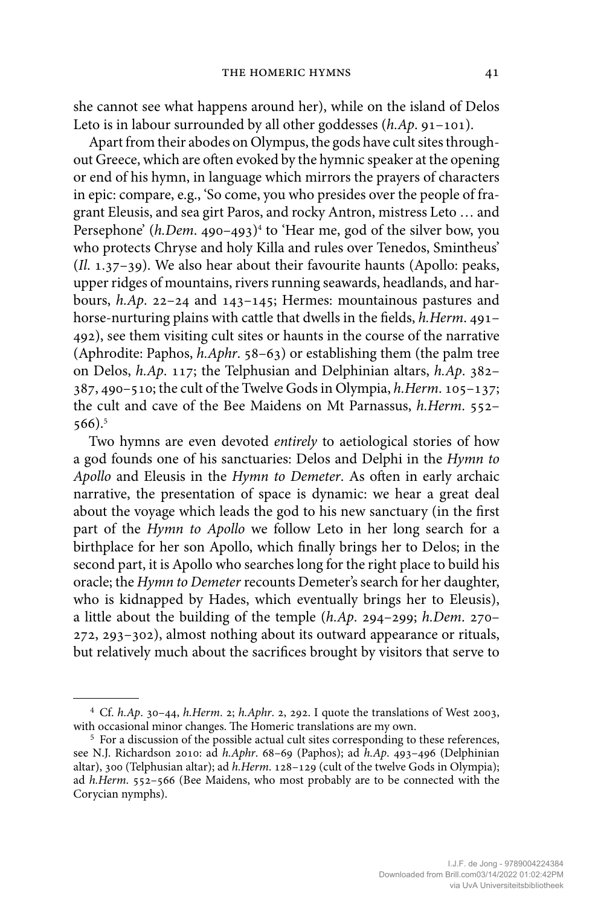she cannot see what happens around her), while on the island of Delos Leto is in labour surrounded by all other goddesses  $(h \cdot Ap \cdot 91-101)$ .

Apart from their abodes on Olympus, the gods have cult sites throughout Greece, which are often evoked by the hymnic speaker at the opening or end of his hymn, in language which mirrors the prayers of characters in epic: compare, e.g., 'So come, you who presides over the people of fragrant Eleusis, and sea girt Paros, and rocky Antron, mistress Leto … and Persephone'  $(h.Dem. 490-493)^4$  to 'Hear me, god of the silver bow, you who protects Chryse and holy Killa and rules over Tenedos, Smintheus'  $(II. 1.37-39)$ . We also hear about their favourite haunts (Apollo: peaks, upper ridges of mountains, rivers running seawards, headlands, and harbours,  $hAp.$  22-24 and 143-145; Hermes: mountainous pastures and horse-nurturing plains with cattle that dwells in the fields, h.Herm. 491-), see them visiting cult sites or haunts in the course of the narrative (Aphrodite: Paphos,  $h$ .Aphr. 58–63) or establishing them (the palm tree on Delos,  $h \cdot Ap.$  117; the Telphusian and Delphinian altars,  $h \cdot Ap.$  382- $387,490 - 510$ ; the cult of the Twelve Gods in Olympia, h.Herm.  $105 - 137$ ; the cult and cave of the Bee Maidens on Mt Parnassus, h.Herm. 552- $566$ ).<sup>5</sup>

Two hymns are even devoted entirely to aetiological stories of how a god founds one of his sanctuaries: Delos and Delphi in the Hymn to Apollo and Eleusis in the Hymn to Demeter. As often in early archaic narrative, the presentation of space is dynamic: we hear a great deal about the voyage which leads the god to his new sanctuary (in the first part of the Hymn to Apollo we follow Leto in her long search for a birthplace for her son Apollo, which finally brings her to Delos; in the second part, it is Apollo who searches long for the right place to build his oracle; the Hymn to Demeter recounts Demeter's search for her daughter, who is kidnapped by Hades, which eventually brings her to Eleusis), a little about the building of the temple  $(h \cdot Ap \cdot 294-299; h \cdot Dem \cdot 270 272, 293-302$ ), almost nothing about its outward appearance or rituals, but relatively much about the sacrifices brought by visitors that serve to

 $4$  Cf. h.Ap. 30-44, h.Herm. 2; h.Aphr. 2, 292. I quote the translations of West 2003, with occasional minor changes. The Homeric translations are my own.

<sup>&</sup>lt;sup>5</sup> For a discussion of the possible actual cult sites corresponding to these references, see N.J. Richardson 2010: ad h.Aphr. 68-69 (Paphos); ad h.Ap. 493-496 (Delphinian altar), 300 (Telphusian altar); ad h.Herm. 128-129 (cult of the twelve Gods in Olympia); ad  $h$ . Herm. 552-566 (Bee Maidens, who most probably are to be connected with the Corycian nymphs).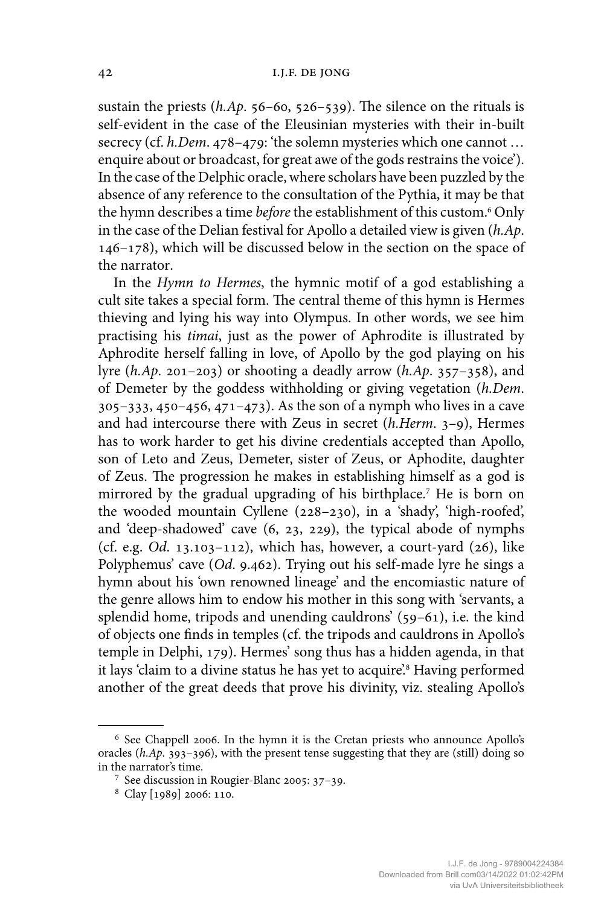sustain the priests  $(h \nightharpoonup h - 56 - 60, 526 - 539)$ . The silence on the rituals is self-evident in the case of the Eleusinian mysteries with their in-built secrecy (cf.  $h.$  Dem. 478-479: 'the solemn mysteries which one cannot ... enquire about or broadcast, for great awe of the gods restrains the voice'). In the case of the Delphic oracle, where scholars have been puzzled by the absence of any reference to the consultation of the Pythia, it may be that the hymn describes a time *before* the establishment of this custom.<sup>6</sup> Only in the case of the Delian festival for Apollo a detailed view is given (h.Ap.  $146-178$ ), which will be discussed below in the section on the space of the narrator.

In the Hymn to Hermes, the hymnic motif of a god establishing a cult site takes a special form. The central theme of this hymn is Hermes thieving and lying his way into Olympus. In other words, we see him practising his timai, just as the power of Aphrodite is illustrated by Aphrodite herself falling in love, of Apollo by the god playing on his lyre (h.Ap. 201-203) or shooting a deadly arrow (h.Ap. 357-358), and of Demeter by the goddess withholding or giving vegetation (h.Dem.  $305-333, 450-456, 471-473$ . As the son of a nymph who lives in a cave and had intercourse there with Zeus in secret  $(h.Herm. 3-9)$ , Hermes has to work harder to get his divine credentials accepted than Apollo, son of Leto and Zeus, Demeter, sister of Zeus, or Aphodite, daughter of Zeus. The progression he makes in establishing himself as a god is mirrored by the gradual upgrading of his birthplace.<sup>7</sup> He is born on the wooded mountain Cyllene  $(228-230)$ , in a 'shady', 'high-roofed', and 'deep-shadowed' cave  $(6, 23, 229)$ , the typical abode of nymphs (cf. e.g.  $Od.$  13.103-112), which has, however, a court-yard (26), like Polyphemus' cave  $(Od. 9.462)$ . Trying out his self-made lyre he sings a hymn about his 'own renowned lineage' and the encomiastic nature of the genre allows him to endow his mother in this song with 'servants, a splendid home, tripods and unending cauldrons'  $(59-61)$ , i.e. the kind of objects one finds in temples (cf. the tripods and cauldrons in Apollo's temple in Delphi, 179). Hermes' song thus has a hidden agenda, in that it lays 'claim to a divine status he has yet to acquire'.<sup>8</sup> Having performed another of the great deeds that prove his divinity, viz. stealing Apollo's

 $6$  See Chappell 2006. In the hymn it is the Cretan priests who announce Apollo's oracles ( $h \cdot Ap \cdot 393-396$ ), with the present tense suggesting that they are (still) doing so in the narrator's time.

<sup>&</sup>lt;sup>7</sup> See discussion in Rougier-Blanc 2005:  $37-39$ .

 $8$  Clay [1989] 2006: 110.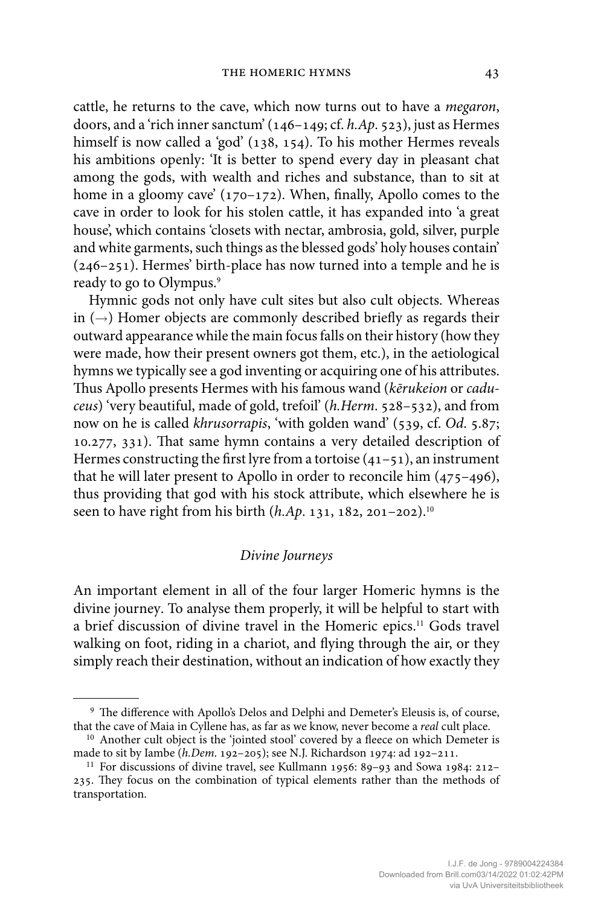cattle, he returns to the cave, which now turns out to have a megaron, doors, and a 'rich inner sanctum'  $(146-149; cf. h.Ap. 523)$ , just as Hermes himself is now called a 'god'  $(138, 154)$ . To his mother Hermes reveals his ambitions openly: 'It is better to spend every day in pleasant chat among the gods, with wealth and riches and substance, than to sit at home in a gloomy cave'  $(170-172)$ . When, finally, Apollo comes to the cave in order to look for his stolen cattle, it has expanded into 'a great house', which contains 'closets with nectar, ambrosia, gold, silver, purple and white garments, such things as the blessed gods' holy houses contain'  $(246-251)$ . Hermes' birth-place has now turned into a temple and he is ready to go to Olympus.<sup>9</sup>

Hymnic gods not only have cult sites but also cult objects. Whereas in  $(\rightarrow)$  Homer objects are commonly described briefly as regards their outward appearance while the main focus falls on their history (how they were made, how their present owners got them, etc.), in the aetiological hymns we typically see a god inventing or acquiring one of his attributes. Thus Apollo presents Hermes with his famous wand (kērukeion or caduceus) 'very beautiful, made of gold, trefoil' (h.Herm. 528-532), and from now on he is called khrusorrapis, 'with golden wand' (539, cf. Od. 5.87; 10.277, 331). That same hymn contains a very detailed description of Hermes constructing the first lyre from a tortoise  $(41-51)$ , an instrument that he will later present to Apollo in order to reconcile him  $(475-496)$ , thus providing that god with his stock attribute, which elsewhere he is seen to have right from his birth  $(h \cdot Ap \cdot 131, 182, 201-202).^{10}$ 

#### Divine Journeys

An important element in all of the four larger Homeric hymns is the divine journey. To analyse them properly, it will be helpful to start with a brief discussion of divine travel in the Homeric epics.<sup>11</sup> Gods travel walking on foot, riding in a chariot, and flying through the air, or they simply reach their destination, without an indication of how exactly they

<sup>&</sup>lt;sup>9</sup> The difference with Apollo's Delos and Delphi and Demeter's Eleusis is, of course, that the cave of Maia in Cyllene has, as far as we know, never become a real cult place.

<sup>&</sup>lt;sup>10</sup> Another cult object is the 'jointed stool' covered by a fleece on which Demeter is made to sit by Iambe (h.Dem. 192-205); see N.J. Richardson 1974: ad 192-211.

<sup>&</sup>lt;sup>11</sup> For discussions of divine travel, see Kullmann 1956: 89-93 and Sowa 1984: 212-235. They focus on the combination of typical elements rather than the methods of transportation.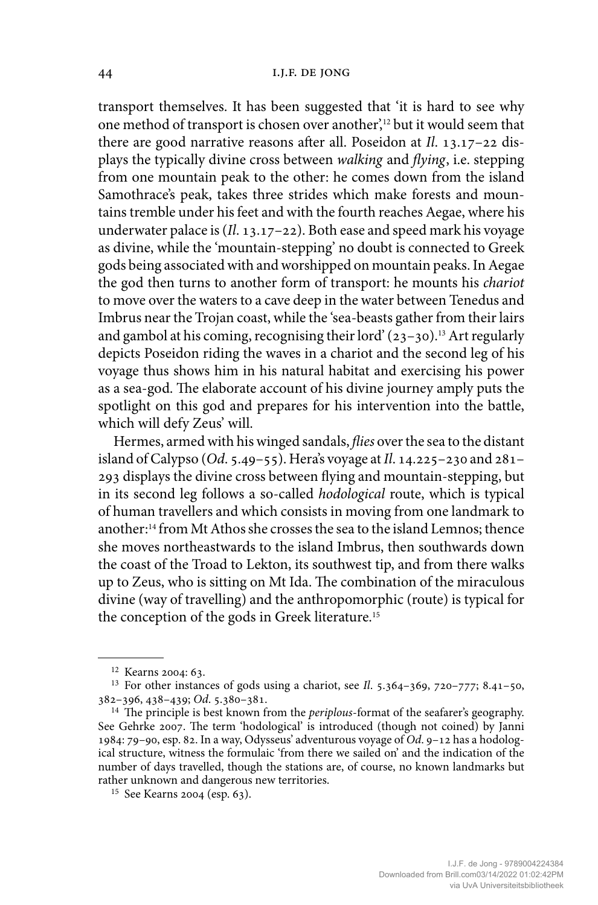transport themselves. It has been suggested that 'it is hard to see why one method of transport is chosen over another',<sup>12</sup> but it would seem that there are good narrative reasons after all. Poseidon at  $Il$ . 13.17-22 displays the typically divine cross between *walking* and *flying*, *i.e.* stepping from one mountain peak to the other: he comes down from the island Samothrace's peak, takes three strides which make forests and mountains tremble under his feet and with the fourth reaches Aegae, where his underwater palace is  $(Il. 13.17-22)$ . Both ease and speed mark his voyage as divine, while the 'mountain-stepping' no doubt is connected to Greek gods being associated with and worshipped on mountain peaks. In Aegae the god then turns to another form of transport: he mounts his chariot to move over the waters to a cave deep in the water between Tenedus and Imbrus near the Trojan coast, while the 'sea-beasts gather from their lairs and gambol at his coming, recognising their lord'  $(23-30)$ .<sup>13</sup> Art regularly depicts Poseidon riding the waves in a chariot and the second leg of his voyage thus shows him in his natural habitat and exercising his power as a sea-god. The elaborate account of his divine journey amply puts the spotlight on this god and prepares for his intervention into the battle, which will defy Zeus' will.

Hermes, armed with his winged sandals, *flies* over the sea to the distant island of Calypso (Od. 5.49–55). Hera's voyage at Il. 14.225–230 and  $281-$ 293 displays the divine cross between flying and mountain-stepping, but in its second leg follows a so-called hodological route, which is typical of human travellers and which consists in moving from one landmark to another:<sup>14</sup> from Mt Athos she crosses the sea to the island Lemnos; thence she moves northeastwards to the island Imbrus, then southwards down the coast of the Troad to Lekton, its southwest tip, and from there walks up to Zeus, who is sitting on Mt Ida. The combination of the miraculous divine (way of travelling) and the anthropomorphic (route) is typical for the conception of the gods in Greek literature.<sup>15</sup>

<sup>&</sup>lt;sup>12</sup> Kearns 2004: 63.

<sup>&</sup>lt;sup>13</sup> For other instances of gods using a chariot, see Il. 5.364-369, 720-777; 8.41-50,  $382 - 396$ ,  $438 - 439$ ; Od.  $5.380 - 381$ .

<sup>&</sup>lt;sup>14</sup> The principle is best known from the *periplous*-format of the seafarer's geography. See Gehrke 2007. The term 'hodological' is introduced (though not coined) by Janni 1984: 79-90, esp. 82. In a way, Odysseus' adventurous voyage of  $Od.$  9-12 has a hodological structure, witness the formulaic 'from there we sailed on' and the indication of the number of days travelled, though the stations are, of course, no known landmarks but rather unknown and dangerous new territories.

 $15$  See Kearns 2004 (esp. 63).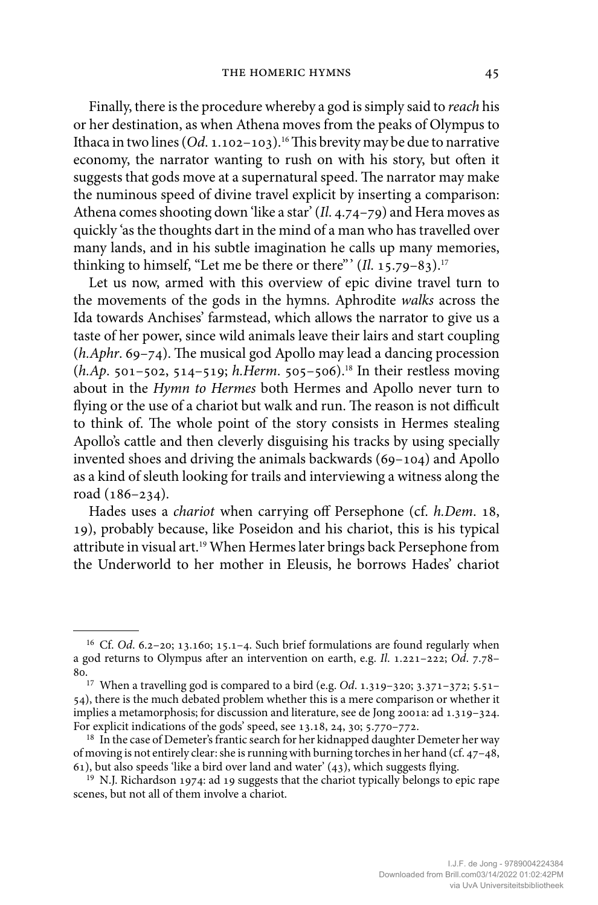Finally, there is the procedure whereby a god is simply said to reach his or her destination, as when Athena moves from the peaks of Olympus to Ithaca in two lines  $(Od. 1.102 - 103)$ .<sup>16</sup> This brevity may be due to narrative economy, the narrator wanting to rush on with his story, but often it suggests that gods move at a supernatural speed. The narrator may make the numinous speed of divine travel explicit by inserting a comparison: Athena comes shooting down 'like a star' (Il. 4.74–79) and Hera moves as quickly 'as the thoughts dart in the mind of a man who has travelled over many lands, and in his subtle imagination he calls up many memories, thinking to himself, "Let me be there or there"'  $(Il. 15.79-83).$ <sup>17</sup>

Let us now, armed with this overview of epic divine travel turn to the movements of the gods in the hymns. Aphrodite walks across the Ida towards Anchises' farmstead, which allows the narrator to give us a taste of her power, since wild animals leave their lairs and start coupling  $(h. Aphr. 69-74)$ . The musical god Apollo may lead a dancing procession  $(h.Ap. 501-502, 514-519; h.Herm. 505-506).$ <sup>18</sup> In their restless moving about in the Hymn to Hermes both Hermes and Apollo never turn to flying or the use of a chariot but walk and run. The reason is not difficult to think of. The whole point of the story consists in Hermes stealing Apollo's cattle and then cleverly disguising his tracks by using specially invented shoes and driving the animals backwards  $(69-104)$  and Apollo as a kind of sleuth looking for trails and interviewing a witness along the road  $(186 - 234)$ .

Hades uses a *chariot* when carrying off Persephone (cf. h.Dem. 18, ), probably because, like Poseidon and his chariot, this is his typical attribute in visual art.<sup>19</sup> When Hermes later brings back Persephone from the Underworld to her mother in Eleusis, he borrows Hades' chariot

<sup>&</sup>lt;sup>16</sup> Cf. Od. 6.2-20; 13.160; 15.1-4. Such brief formulations are found regularly when a god returns to Olympus after an intervention on earth, e.g. Il.  $1.221-222$ ; Od. 7.78-80.

<sup>&</sup>lt;sup>17</sup> When a travelling god is compared to a bird (e.g. Od. 1.319-320; 3.371-372; 5.51-), there is the much debated problem whether this is a mere comparison or whether it implies a metamorphosis; for discussion and literature, see de Jong 2001a: ad 1.319-324. For explicit indications of the gods' speed, see  $13.18$ ,  $24$ ,  $30$ ;  $5.770 - 772$ .

<sup>&</sup>lt;sup>18</sup> In the case of Demeter's frantic search for her kidnapped daughter Demeter her way of moving is not entirely clear: she is running with burning torches in her hand (cf.  $47-48$ ,  $(61)$ , but also speeds 'like a bird over land and water'  $(43)$ , which suggests flying.

<sup>&</sup>lt;sup>19</sup> N.J. Richardson 1974: ad 19 suggests that the chariot typically belongs to epic rape scenes, but not all of them involve a chariot.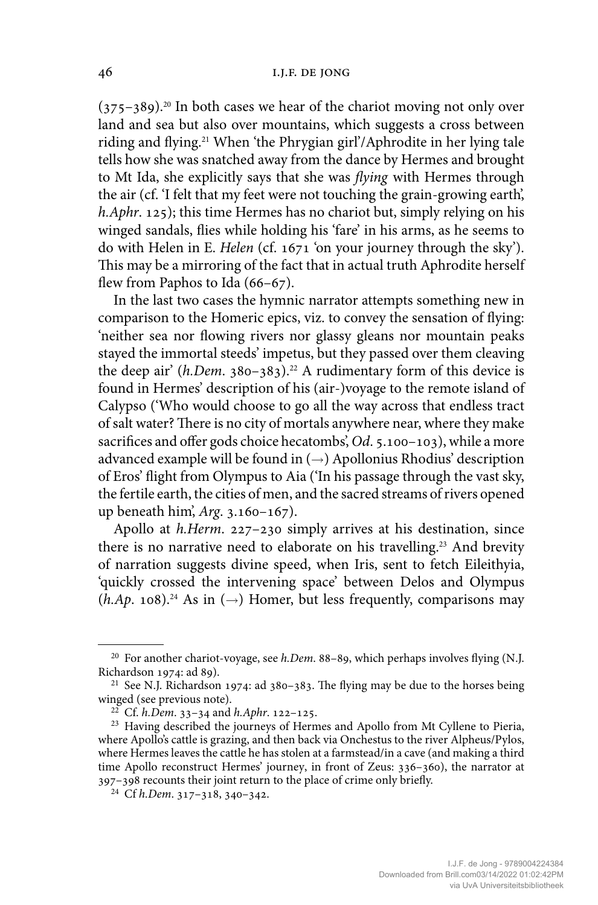$(375-389).^{20}$  In both cases we hear of the chariot moving not only over land and sea but also over mountains, which suggests a cross between riding and ßying.<sup>21</sup> When 'the Phrygian girl'/Aphrodite in her lying tale tells how she was snatched away from the dance by Hermes and brought to Mt Ida, she explicitly says that she was *flying* with Hermes through the air (cf. 'I felt that my feet were not touching the grain-growing earth',  $h$ . Aphr. 125); this time Hermes has no chariot but, simply relying on his winged sandals, flies while holding his 'fare' in his arms, as he seems to do with Helen in E. Helen (cf.  $1671$  'on your journey through the sky'). This may be a mirroring of the fact that in actual truth Aphrodite herself flew from Paphos to Ida  $(66-67)$ .

In the last two cases the hymnic narrator attempts something new in comparison to the Homeric epics, viz. to convey the sensation of flying: 'neither sea nor flowing rivers nor glassy gleans nor mountain peaks stayed the immortal steeds' impetus, but they passed over them cleaving the deep air' (h.Dem. 380-383).<sup>22</sup> A rudimentary form of this device is found in Hermes' description of his (air-)voyage to the remote island of Calypso ('Who would choose to go all the way across that endless tract of salt water? There is no city of mortals anywhere near, where they make sacrifices and offer gods choice hecatombs', Od. 5.100-103), while a more advanced example will be found in  $(\rightarrow)$  Apollonius Rhodius' description of Eros' ßight from Olympus to Aia ('In his passage through the vast sky, the fertile earth, the cities of men, and the sacred streams of rivers opened up beneath him',  $Arg. 3.160-167$ .

Apollo at  $h$ . Herm. 227-230 simply arrives at his destination, since there is no narrative need to elaborate on his travelling.<sup>23</sup> And brevity of narration suggests divine speed, when Iris, sent to fetch Eileithyia, 'quickly crossed the intervening space' between Delos and Olympus  $(h. Ap. 108).<sup>24</sup>$  As in  $(\rightarrow)$  Homer, but less frequently, comparisons may

<sup>&</sup>lt;sup>20</sup> For another chariot-voyage, see *h.Dem.* 88–89, which perhaps involves flying (N.J. Richardson 1974: ad 89).

<sup>&</sup>lt;sup>21</sup> See N.J. Richardson 1974: ad  $380-383$ . The flying may be due to the horses being winged (see previous note).

<sup>&</sup>lt;sup>22</sup> Cf. *h.Dem.* 33-34 and *h.Aphr.* 122-125.

<sup>&</sup>lt;sup>23</sup> Having described the journeys of Hermes and Apollo from Mt Cyllene to Pieria, where Apollo's cattle is grazing, and then back via Onchestus to the river Alpheus/Pylos, where Hermes leaves the cattle he has stolen at a farmstead/in a cave (and making a third time Apollo reconstruct Hermes' journey, in front of Zeus: 336-360), the narrator at – recounts their joint return to the place of crime only brießy.

<sup>&</sup>lt;sup>24</sup> Cf h.Dem. 317-318, 340-342.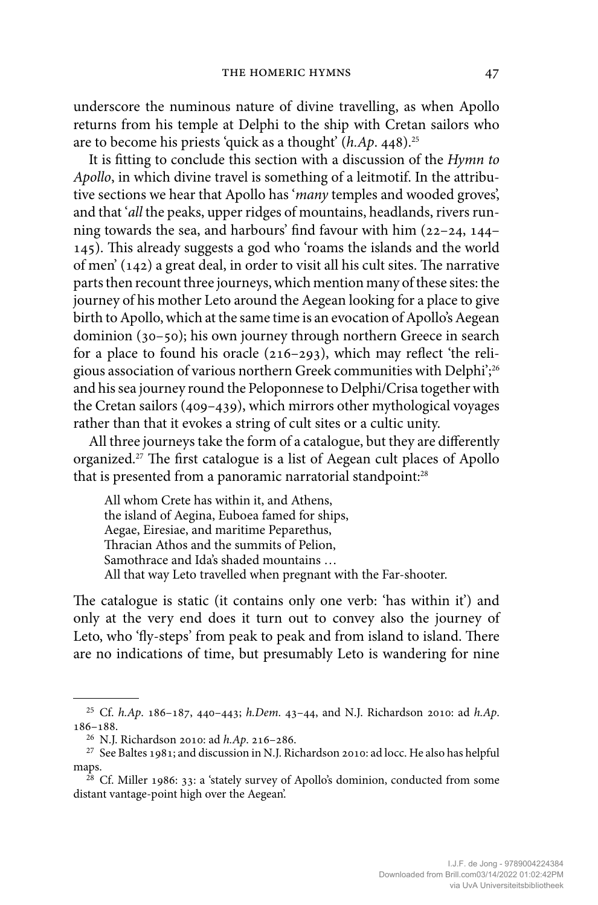underscore the numinous nature of divine travelling, as when Apollo returns from his temple at Delphi to the ship with Cretan sailors who are to become his priests 'quick as a thought'  $(h \cdot Ap \cdot 448)^{25}$ 

It is fitting to conclude this section with a discussion of the *Hymn to* Apollo, in which divine travel is something of a leitmotif. In the attributive sections we hear that Apollo has 'many temples and wooded groves', and that 'all the peaks, upper ridges of mountains, headlands, rivers running towards the sea, and harbours' find favour with him  $(22-24, 144-$ 145). This already suggests a god who 'roams the islands and the world of men'  $(142)$  a great deal, in order to visit all his cult sites. The narrative parts then recount three journeys, which mention many of these sites: the journey of his mother Leto around the Aegean looking for a place to give birth to Apollo, which at the same time is an evocation of Apollo's Aegean dominion (30-50); his own journey through northern Greece in search for a place to found his oracle  $(216-293)$ , which may reflect 'the religious association of various northern Greek communities with Delphi';<sup>26</sup> and his sea journey round the Peloponnese to Delphi/Crisa together with the Cretan sailors  $(409-439)$ , which mirrors other mythological voyages rather than that it evokes a string of cult sites or a cultic unity.

All three journeys take the form of a catalogue, but they are differently organized.<sup>27</sup> The first catalogue is a list of Aegean cult places of Apollo that is presented from a panoramic narratorial standpoint:<sup>28</sup>

All whom Crete has within it, and Athens, the island of Aegina, Euboea famed for ships, Aegae, Eiresiae, and maritime Peparethus, Thracian Athos and the summits of Pelion, Samothrace and Ida's shaded mountains … All that way Leto travelled when pregnant with the Far-shooter.

The catalogue is static (it contains only one verb: 'has within it') and only at the very end does it turn out to convey also the journey of Leto, who 'fly-steps' from peak to peak and from island to island. There are no indications of time, but presumably Leto is wandering for nine

<sup>&</sup>lt;sup>25</sup> Cf.  $hAp.$  186-187, 440-443; h.Dem. 43-44, and N.J. Richardson 2010: ad  $hAp.$  $186 - 188.$ 

 $^{26}$  N.J. Richardson 2010: ad  $h$ .Ap. 216-286.

<sup>&</sup>lt;sup>27</sup> See Baltes 1981; and discussion in N.J. Richardson 2010: ad locc. He also has helpful maps.

 $^{28}$  Cf. Miller 1986: 33: a 'stately survey of Apollo's dominion, conducted from some distant vantage-point high over the Aegean'.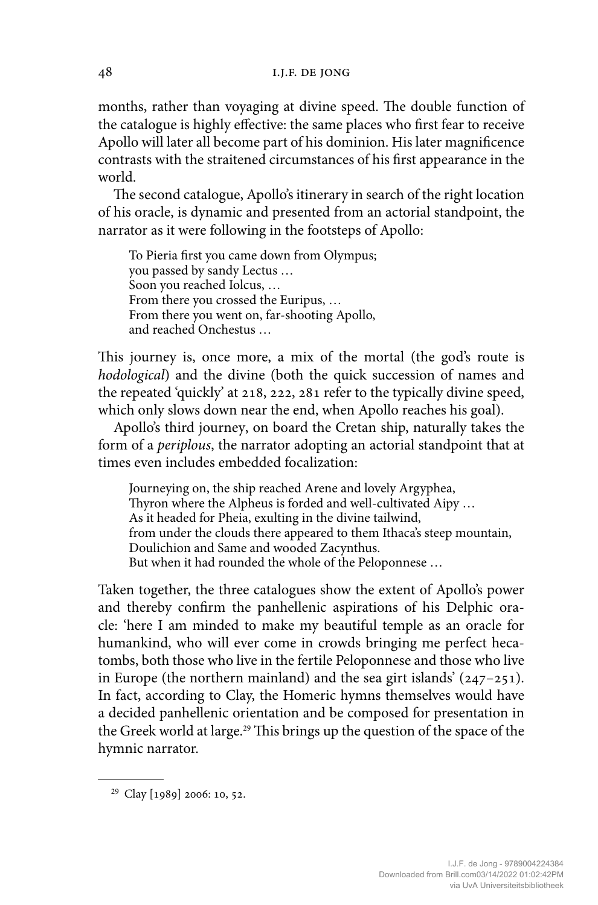months, rather than voyaging at divine speed. The double function of the catalogue is highly effective: the same places who first fear to receive Apollo will later all become part of his dominion. His later magnificence contrasts with the straitened circumstances of his first appearance in the world.

The second catalogue, Apollo's itinerary in search of the right location of his oracle, is dynamic and presented from an actorial standpoint, the narrator as it were following in the footsteps of Apollo:

To Pieria first you came down from Olympus; you passed by sandy Lectus … Soon you reached Iolcus, … From there you crossed the Euripus, … From there you went on, far-shooting Apollo, and reached Onchestus …

This journey is, once more, a mix of the mortal (the god's route is hodological) and the divine (both the quick succession of names and the repeated 'quickly' at  $218$ ,  $222$ ,  $281$  refer to the typically divine speed, which only slows down near the end, when Apollo reaches his goal).

Apollo's third journey, on board the Cretan ship, naturally takes the form of a periplous, the narrator adopting an actorial standpoint that at times even includes embedded focalization:

Journeying on, the ship reached Arene and lovely Argyphea, Thyron where the Alpheus is forded and well-cultivated Aipy ... As it headed for Pheia, exulting in the divine tailwind, from under the clouds there appeared to them Ithaca's steep mountain, Doulichion and Same and wooded Zacynthus. But when it had rounded the whole of the Peloponnese …

Taken together, the three catalogues show the extent of Apollo's power and thereby confirm the panhellenic aspirations of his Delphic oracle: 'here I am minded to make my beautiful temple as an oracle for humankind, who will ever come in crowds bringing me perfect hecatombs, both those who live in the fertile Peloponnese and those who live in Europe (the northern mainland) and the sea girt islands'  $(247-251)$ . In fact, according to Clay, the Homeric hymns themselves would have a decided panhellenic orientation and be composed for presentation in the Greek world at large.<sup>29</sup> This brings up the question of the space of the hymnic narrator.

<sup>&</sup>lt;sup>29</sup> Clay [1989] 2006: 10, 52.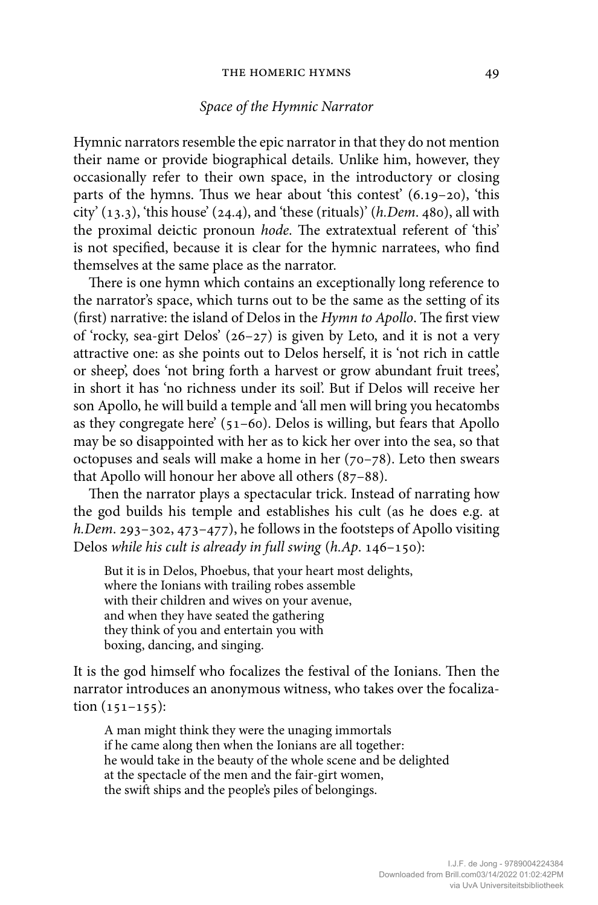#### Space of the Hymnic Narrator

Hymnic narrators resemble the epic narrator in that they do not mention their name or provide biographical details. Unlike him, however, they occasionally refer to their own space, in the introductory or closing parts of the hymns. Thus we hear about 'this contest'  $(6.19-20)$ , 'this city'  $(13,3)$ , 'this house'  $(24,4)$ , and 'these (rituals)' (h.Dem. 480), all with the proximal deictic pronoun *hode*. The extratextual referent of 'this' is not specified, because it is clear for the hymnic narratees, who find themselves at the same place as the narrator.

There is one hymn which contains an exceptionally long reference to the narrator's space, which turns out to be the same as the setting of its (first) narrative: the island of Delos in the  $Hymn$  to Apollo. The first view of 'rocky, sea-girt Delos' (26–27) is given by Leto, and it is not a very attractive one: as she points out to Delos herself, it is 'not rich in cattle or sheep', does 'not bring forth a harvest or grow abundant fruit trees', in short it has 'no richness under its soil'. But if Delos will receive her son Apollo, he will build a temple and 'all men will bring you hecatombs as they congregate here'  $(51-60)$ . Delos is willing, but fears that Apollo may be so disappointed with her as to kick her over into the sea, so that octopuses and seals will make a home in her  $(70-78)$ . Leto then swears that Apollo will honour her above all others  $(87-88)$ .

Then the narrator plays a spectacular trick. Instead of narrating how the god builds his temple and establishes his cult (as he does e.g. at  $h.Dem. 293-302, 473-477$ , he follows in the footsteps of Apollo visiting Delos while his cult is already in full swing  $(h \cdot Ap \cdot 146 - 150)$ :

But it is in Delos, Phoebus, that your heart most delights, where the Ionians with trailing robes assemble with their children and wives on your avenue, and when they have seated the gathering they think of you and entertain you with boxing, dancing, and singing.

It is the god himself who focalizes the festival of the Ionians. Then the narrator introduces an anonymous witness, who takes over the focaliza- $\frac{1}{151-155}$ :

A man might think they were the unaging immortals if he came along then when the Ionians are all together: he would take in the beauty of the whole scene and be delighted at the spectacle of the men and the fair-girt women, the swift ships and the people's piles of belongings.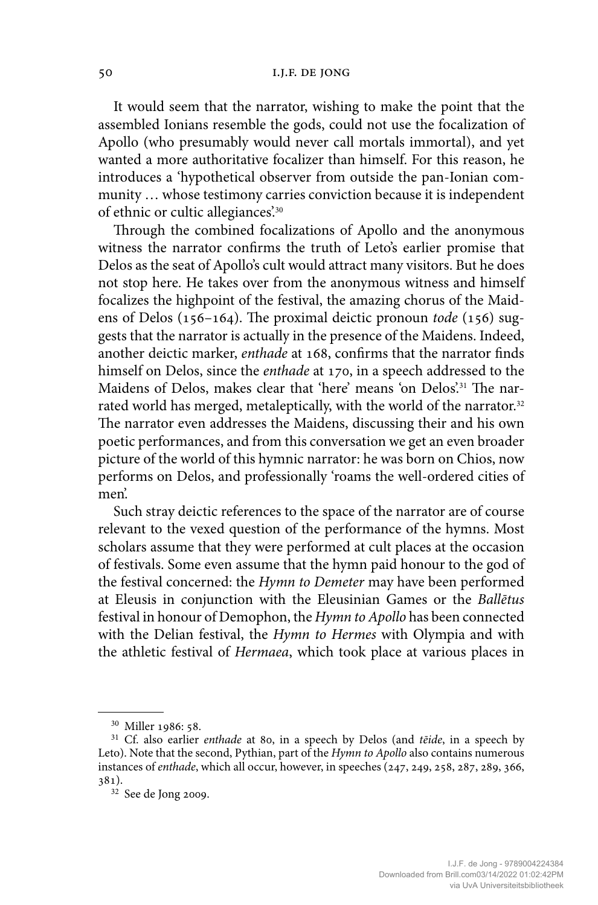#### i.j.f. de jong

It would seem that the narrator, wishing to make the point that the assembled Ionians resemble the gods, could not use the focalization of Apollo (who presumably would never call mortals immortal), and yet wanted a more authoritative focalizer than himself. For this reason, he introduces a 'hypothetical observer from outside the pan-Ionian community … whose testimony carries conviction because it is independent of ethnic or cultic allegiances'.<sup>30</sup>

Through the combined focalizations of Apollo and the anonymous witness the narrator confirms the truth of Leto's earlier promise that Delos as the seat of Apollo's cult would attract many visitors. But he does not stop here. He takes over from the anonymous witness and himself focalizes the highpoint of the festival, the amazing chorus of the Maidens of Delos (156–164). The proximal deictic pronoun tode (156) suggests that the narrator is actually in the presence of the Maidens. Indeed, another deictic marker, enthade at 168, confirms that the narrator finds himself on Delos, since the enthade at 170, in a speech addressed to the Maidens of Delos, makes clear that 'here' means 'on Delos'.<sup>31</sup> The narrated world has merged, metaleptically, with the world of the narrator.<sup>32</sup> The narrator even addresses the Maidens, discussing their and his own poetic performances, and from this conversation we get an even broader picture of the world of this hymnic narrator: he was born on Chios, now performs on Delos, and professionally 'roams the well-ordered cities of men'.

Such stray deictic references to the space of the narrator are of course relevant to the vexed question of the performance of the hymns. Most scholars assume that they were performed at cult places at the occasion of festivals. Some even assume that the hymn paid honour to the god of the festival concerned: the Hymn to Demeter may have been performed at Eleusis in conjunction with the Eleusinian Games or the Balletus festival in honour of Demophon, the Hymn to Apollo has been connected with the Delian festival, the Hymn to Hermes with Olympia and with the athletic festival of Hermaea, which took place at various places in

<sup>&</sup>lt;sup>30</sup> Miller 1986: 58.

 $31$  Cf. also earlier enthade at 80, in a speech by Delos (and tēide, in a speech by Leto). Note that the second, Pythian, part of the Hymn to Apollo also contains numerous instances of enthade, which all occur, however, in speeches  $(247, 249, 258, 287, 289, 366,$  $381)$ .

<sup>&</sup>lt;sup>32</sup> See de Jong 2009.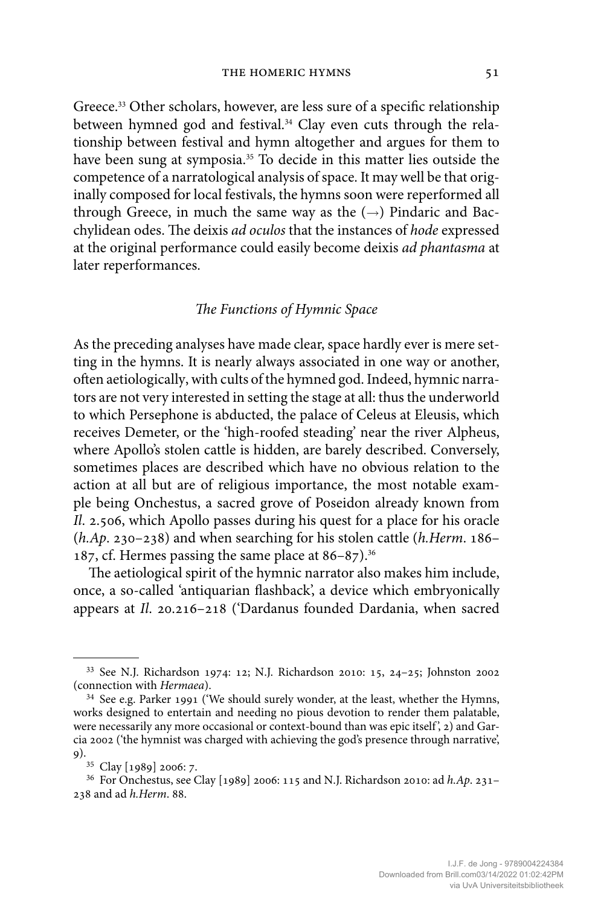Greece.<sup>33</sup> Other scholars, however, are less sure of a specific relationship between hymned god and festival.<sup>34</sup> Clay even cuts through the relationship between festival and hymn altogether and argues for them to have been sung at symposia.<sup>35</sup> To decide in this matter lies outside the competence of a narratological analysis of space. It may well be that originally composed for local festivals, the hymns soon were reperformed all through Greece, in much the same way as the  $(\rightarrow)$  Pindaric and Bacchylidean odes. The deixis ad oculos that the instances of hode expressed at the original performance could easily become deixis ad phantasma at later reperformances.

#### The Functions of Hymnic Space

As the preceding analyses have made clear, space hardly ever is mere setting in the hymns. It is nearly always associated in one way or another, often aetiologically, with cults of the hymned god. Indeed, hymnic narrators are not very interested in setting the stage at all: thus the underworld to which Persephone is abducted, the palace of Celeus at Eleusis, which receives Demeter, or the 'high-roofed steading' near the river Alpheus, where Apollo's stolen cattle is hidden, are barely described. Conversely, sometimes places are described which have no obvious relation to the action at all but are of religious importance, the most notable example being Onchestus, a sacred grove of Poseidon already known from Il. 2.506, which Apollo passes during his quest for a place for his oracle  $(h \cdot Ap. 230 - 238)$  and when searching for his stolen cattle  $(h \cdot Herm. 186 -$ 187, cf. Hermes passing the same place at  $86-87$ ).<sup>36</sup>

The aetiological spirit of the hymnic narrator also makes him include, once, a so-called 'antiquarian ßashback', a device which embryonically appears at  $Il. 20.216 - 218$  ('Dardanus founded Dardania, when sacred

<sup>&</sup>lt;sup>33</sup> See N.J. Richardson 1974: 12; N.J. Richardson 2010: 15, 24-25; Johnston 2002 (connection with Hermaea).

<sup>&</sup>lt;sup>34</sup> See e.g. Parker 1991 ('We should surely wonder, at the least, whether the Hymns, works designed to entertain and needing no pious devotion to render them palatable, were necessarily any more occasional or context-bound than was epic itself, 2) and Garcia  $2002$  ('the hymnist was charged with achieving the god's presence through narrative', ).

<sup>&</sup>lt;sup>35</sup> Clay [1989] 2006: 7.

<sup>&</sup>lt;sup>36</sup> For Onchestus, see Clay [1989] 2006: 115 and N.J. Richardson 2010: ad  $h.Ap.$  231– 238 and ad h.Herm. 88.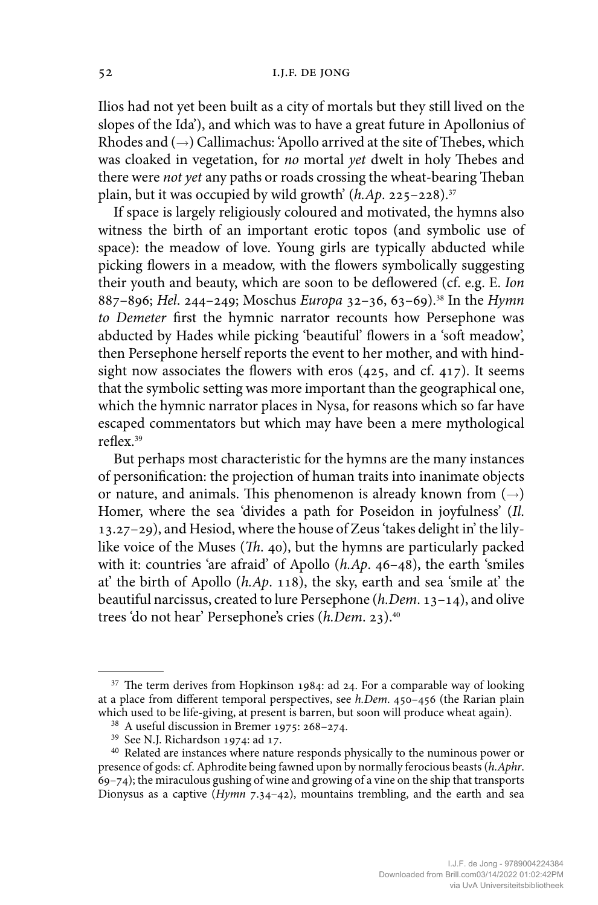Ilios had not yet been built as a city of mortals but they still lived on the slopes of the Ida'), and which was to have a great future in Apollonius of Rhodes and  $(\rightarrow)$  Callimachus: 'Apollo arrived at the site of Thebes, which was cloaked in vegetation, for no mortal yet dwelt in holy Thebes and there were not yet any paths or roads crossing the wheat-bearing Theban plain, but it was occupied by wild growth'  $(h \cdot Ap \cdot 225 - 228).$ <sup>37</sup>

If space is largely religiously coloured and motivated, the hymns also witness the birth of an important erotic topos (and symbolic use of space): the meadow of love. Young girls are typically abducted while picking flowers in a meadow, with the flowers symbolically suggesting their youth and beauty, which are soon to be deflowered (cf. e.g. E. Ion 887-896; Hel. 244-249; Moschus Europa 32-36, 63-69).<sup>38</sup> In the Hymn to Demeter first the hymnic narrator recounts how Persephone was abducted by Hades while picking 'beautiful' flowers in a 'soft meadow', then Persephone herself reports the event to her mother, and with hindsight now associates the flowers with eros (425, and cf. 417). It seems that the symbolic setting was more important than the geographical one, which the hymnic narrator places in Nysa, for reasons which so far have escaped commentators but which may have been a mere mythological reßex.<sup>39</sup>

But perhaps most characteristic for the hymns are the many instances of personification: the projection of human traits into inanimate objects or nature, and animals. This phenomenon is already known from  $(\rightarrow)$ Homer, where the sea 'divides a path for Poseidon in joyfulness' (Il. 13.27-29), and Hesiod, where the house of Zeus 'takes delight in' the lilylike voice of the Muses ( $Th.$  40), but the hymns are particularly packed with it: countries 'are afraid' of Apollo  $(h \cdot Ap \cdot 46-48)$ , the earth 'smiles at' the birth of Apollo ( $h \cdot A p$ . 118), the sky, earth and sea 'smile at' the beautiful narcissus, created to lure Persephone  $(h.Dem. 13-14)$ , and olive trees 'do not hear' Persephone's cries  $(h.Dem. 23).40$ 

 $37$  The term derives from Hopkinson 1984: ad 24. For a comparable way of looking at a place from different temporal perspectives, see  $h.Dem.$  450-456 (the Rarian plain which used to be life-giving, at present is barren, but soon will produce wheat again).

 $38$  A useful discussion in Bremer 1975: 268-274.

 $39$  See N.J. Richardson 1974: ad 17.

<sup>&</sup>lt;sup>40</sup> Related are instances where nature responds physically to the numinous power or presence of gods: cf. Aphrodite being fawned upon by normally ferocious beasts (h.Aphr.  $(69-74)$ ; the miraculous gushing of wine and growing of a vine on the ship that transports Dionysus as a captive  $(Hymn 7.34-42)$ , mountains trembling, and the earth and sea